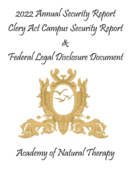



Academy of Natural Therapy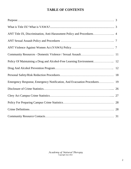# **TABLE OF CONTENTS**

| Emergency Response, Emergency Notification, And Evacuation Procedures 19 |  |
|--------------------------------------------------------------------------|--|
|                                                                          |  |
|                                                                          |  |
|                                                                          |  |
|                                                                          |  |
|                                                                          |  |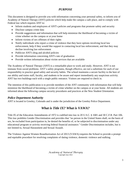### *PURPOSE*

This document is designed to provide you with information concerning your personal safety, to inform you of Academy of Natural Therapy (ANT) policies which help make the campus a safe place, and to comply with Federal law which requires ANT to:

- Inform students and employees of ANT's policies and programs that promote safety and security
- Disclose campus crime data
- Provide suggestions and information that will help minimize the likelihood of becoming a victim of crime whether on the campus or at your home
- Inform victims of sex offenses of their rights
- Notify individuals who report a crime of violence that they have options involving local law enforcement, help if they would like support in contacting local law enforcement, and that they may decline involving law enforcement
- Publicize ANT's drug and alcohol policies
- Provide information concerning ANT's rate of graduation
- Provide written information about victim services that are available

The Academy of Natural Therapy (ANT) is a remarkable place to work and study. However, ANT is not immune from social problems. ANT's safety programs, though effective, are not a substitute for each of our responsibility to practice good safety and security habits. The school maintains a secure facility to the best of our ability and trains staff, faculty, and students to be aware and report immediately any suspicious activity. ANT has two buildings each with a single public entrance. Visitors are required to check in.

The intention of this publication is to provide members of the ANT community with information that will help minimize the likelihood of becoming a victim of crime whether on the campus or at your home. All students are informed about the following campus security procedures and practices at the New Student Orientation.

# *Police Department Authority*

ANT is located in Greeley, Colorado and is under the jurisdiction of the Greeley Police Department.

# *What is Title IX? What is VAWA?*

Title IX of the Education Amendments of 1972 is codified into law in 20 U.S.C. § 1681 and 30 C.F.R. Part 106. This law prohibits Gender Discrimination and provides that "no person in the United States shall, on the basis of sex, be excluded from participation in, be denied the benefits of, or be subjected to discrimination under any educational program or activity receiving federal financial assistance." Gender Discrimination includes, but is not limited to, Sexual Harassment and Sexual Assault.

The Violence Against Women Reauthorization Act of 2013 (VAWA) requires the School to provide a prompt and equitable procedure for resolving complaints of dating violence, domestic violence and stalking.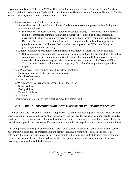If your concern is not a Title IX, VAWA or Discrimination complaint, please refer to the Student Satisfaction and Complaint Procedure in the Student Policy and Procedures Handbook or the Employee Handbook. To file a Title IX, VAWA, or Discrimination complaint, see below.

- Student grievances or Employee grievances
	- o Student/Teacher or Student/Staff or Student/Student misunderstandings -see Student Policy and Procedure Handbook
		- **If the student's concern relates to a potential misunderstanding, it is the hope that both parties** commit to immediate communication with the intent of resolution. If the student remains unsatisfied, the student or employee may provide a verbal or written complaint to the Executive Director. The Executive Director will review the complaint, talk to the relevant parties and provide a response. If still unsatisfied, a student may appeal to the CEO James Mongan (director@natural-therapy.com).
	- o Employee/Employee or Employee/Administration or Employee/Student misunderstandings.
		- If the employee's concern relates to a potential misunderstanding, it is the hope that both parties commit to immediate communication with the intent of resolution. If the employee remains unsatisfied, the employee may provide a verbal or written complaint to the Executive Director. The Executive Director will review the complaint, talk to the relevant parties and provide a response.
- Title IX concerns see reporting procedure below (pg. 9) for:
	- o Unwelcome conduct that is pervasive and severe.
	- o Quid Pro Quo threats
	- o Sexual Assault
- VAWA concerns see reporting procedure below (pg. 9) for:
	- o Sexual violence
	- o Dating violence
	- o Domestic violence
	- o Stalking
- Discrimination/Harassment see reporting procedure below (pg. 9)

# *ANT Title IX, Discrimination, Anti-Harassment Policy and Procedures*

It is the policy of the Academy of Natural Therapy (ANT) to maintain a learning environment that is free from discrimination or harassment because of an individual's race, sex, gender, sexual orientation, gender identity, gender expression, religion, age, color, creed, national or ethnic origin, physical, mental, or sensory disability, marital status, genetic information, and/or status as an honorably discharged veteran or member of the military.

ANT will promptly investigate all complaints, verbal or written, of harassment, sexual harassment or sexual misconduct/violence, take appropriate action to protect individuals from further harassment, and, if it determines that unlawful harassment occurred, appropriately discipline any student, teacher, administrator or other school personnel who is found to have violated this policy, and/or to take other appropriate action reasonably calculated to end the harassment.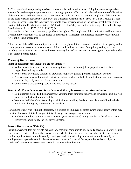ANT is committed to supporting survivors of sexual misconduct, without sacrificing important safeguards to ensure a fair and transparent process and to providing a prompt, effective and unbiased resolution of allegations of discrimination and harassment. The school grievance policies are to be used for complaints of discrimination on the basis of sex as required by Title IX of the Education Amendments of 1972 (34 C.F.R. 106.8(b)). These grievance procedures are also to be used for complaints of discrimination on the basis of disability filed under Section 504 of the Rehabilitation Act of 1973 (34 C.F.R. 104.7(b)), and on the basis of age filed under the Age Discrimination Act of 1975 (C.F.R. 110.25(b)).

As a member of the school community, you have the right to file complaints of discrimination and harassment. Complaint investigations will be conducted in a respectful, transparent and unbiased manner consistent with ANT policies and procedures.

All members of the ANT community are expected to comply with the terms and conditions of this policy and to take appropriate measures to ensure that prohibited conduct does not occur. Disciplinary action, up to and including dismissal from the school with no opportunity for readmission, will be taken against any student who is in violation of this policy.

### *Forms of Harassment*

Forms of harassment may include but are not limited to:

- Verbal: sexual innuendos, racial or sexual epithets, slurs, off-color jokes, propositions, threats, or suggestive/insulting sounds
- Non-Verbal: derogatory cartoons or drawings, suggestive photos, pictures, objects, or gestures
- Physical: any unwanted physical contact (including touching outside the context of a supervised massage school setting), physical interference, or assault
- Other: making threats or reprisals of any kind for any reason

### *What to do if you believe you have been a victim of harassment or discrimination*

- Do not remain silent. Tell the harasser that you find their conduct offensive and unwelcome and that you want the conduct to stop immediately.
- You may find it helpful to keep a log of all incidents detailing the date, time, place and all individuals involved including any witnesses to the incident.

Harassment of any type will not be tolerated. If a student or employee becomes aware of any behavior that may constitute harassment, it is the responsibility of that person to report such conduct:

- Students should notify the Executive Director (Jennifer Mongan) or any member of the administration.
- Employees should notify the Executive Director.

### *Sexual Harassment (Title IX)*

Sexual harassment does not refer to behavior or occasional compliments of a socially acceptable nature. Sexual harassment refers to a behavior that is unwelcome, whether those involved are in a subordinate-supervisory relationship, faculty-student relationship, employee-student relationship, student-student relationship, or employee-employee relationship. Sexual advances, requests for sexual favors, or other verbal or physical conduct of a sexual nature constitute sexual harassment when they are: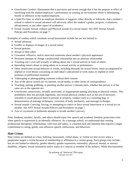- Unwelcome Conduct: Harassment that is pervasive and severe enough that it has the purpose or effect of interfering with the student/employee's performance or creating an environment which is intimidating, hostile or offensive to the student/employee.
- a Quid Pro Quo: in which an employee threatens or suggests, either directly or indirectly, that a student's refusal to submit to sexual advances will adversely affect the student's grades, progress, evaluations, advancement, or any other aspect of academics.
- Sexual Assault: Sexual violence and Physical assault of a sexual nature. See ANT Sexual Assault Policies and Procedures on page 7.

Examples of conduct which constitute sexual harassment include but are not limited to:

- Sexual advances
- Graffiti or displays of images of a sexual nature
- Sexual gestures
- Sexual or dirty jokes
- Unwanted, offensive, and/or uninvited comments about another's physical appearance
- Persistent attempts to change a professional relationship into an amorous relationship
- Touching one's own self sexually or talking about one's sexual activity in front of others
- Spreading rumors about or rating others as to sexual activity or performance
- Other unwelcome sexual behavior or words, including demands for sexual favors, when accompanied by implied or overt threats concerning an individual's educational or work status or implied or overt promises of preferential treatment
- Videotaping or photographing someone without their consent
- Any of the above carried out via internet, social media, or other forms of correspondence
- Touching, patting, grabbing, or pinching another person's intimate parts, whether that person is of the same sex or the opposite sex
- Unwelcome, unnecessary, sexually motivated, or inappropriate patting, pinching or physical contact. This prohibition does not preclude legitimate, non-sexual physical conduct such as the use of necessary restraints to avoid physical harm to persons or property, conduct such as a consoling hug, or demonstration of massage techniques, correction of body mechanics, and massage exchanges.
- Sexual assault: Coercing, forcing, or attempting to coerce or force sexual intercourse or a sexual act on another. See ANT Sexual Assault Policies and Procedures on page 7.
- Acts of voyeurism or deliberate attempts to invade another's privacy.

Note: Students, teachers, faculty, and others should enjoy free speech and academic freedom protections even when speech or expression is accidentally offensive. As a massage school, we understand that creating professional therapeutic relationships, with trust and safety, is a learned skill and intention that requires a larger commitment to caring, gentle, non-offensive speech, interactions, and behaviors.

### *Hate Crimes*

Hate crimes are defined as a bias, bullying, harassment, verbal abuse, or violent act that occurs when a perpetrator targets a victim because of membership or affiliation in a certain group. Such groups may include, but are not limited to ethnicity, gender identity, gender expression, nationality, physical, mental, or sensory disability, religion, sexual orientation and/or status as a veteran or member of the military. While discrimination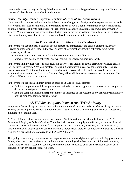based on these factors may be distinguished from sexual harassment, this type of conduct may contribute to the creation of a hostile work or academic environment.

### *Gender Identity, Gender Expression, or Sexual Orientation Discrimination*

Harassment that is not sexual in nature but is based on gender, gender identity, gender expression, sex or gender stereotyping, or sexual orientation is also prohibited as part of ANT's nondiscrimination policy when it denies or limits a person's ability to participate or benefit from the school's educational programs, employment or services. While discrimination based on these factors may be distinguished from sexual harassment, this type of discrimination may contribute to the creation of a hostile work or academic environment.

# *ANT Sexual Assault Policy and Procedures*

In the event of a sexual offense, students should contact 911 immediately and contact either the Executive Director or other available school authority. For proof of a criminal offense, it is extremely important to preserve any evidence.

- Students may request assistance from the Executive Director in calling 911.
- Students may decline to notify 911 and will continue to receive support from ANT.

In the event an individual wishes to find counseling services for victims of sexual assault, they should contact the Executive Director/VAWA coordinator. For a listing of resources, please see the Community Resource Contacts on page 11. If the victim is in need of a change in class or schedule due to the assault, the victim should make a request to the Executive Director. Every effort will be made to accommodate this request. The student will be notified of the options.

In the event of a school disciplinary action in cases of an alleged sexual offense:

- Both the complainant and the respondent are entitled to the same opportunities to have an advisor present during an investigation or hearing and,
- Both the complainant and the respondent must be informed of the outcome of any school investigation or hearing brought alleging a sexual offense.

# *ANT Violence Against Women Act (VAWA) Policy*

Everyone at the Academy of Natural Therapy has the right to feel respected and safe. The Academy of Natural Therapy wishes to provide a school environment that is safe, conducive to learning, and free from harassment, exploitation, or intimidation.

ANT prohibits sexual harassment and sexual violence. Such behavior violates both the law and the ANT Student and Employee Code of Conduct. The school will respond promptly and efficiently to reports of sexual harassment and sexual violence and will take appropriate action to prevent, to correct, and when necessary, discipline behavior that constitutes sexual harassment and/or sexual violence, or otherwise violates the Violence Against Women Act (herein referred to as the "VAWA Policy").

This policy in its entirety, provides a written explanation of available rights and options, including procedures to follow, when the school receives a report that a student or employee has been a victim of domestic violence, dating violence, sexual assault, or stalking, whether the offense occurred on or off the school property or in connection with any school sponsored event.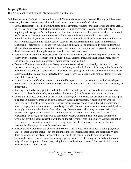### *Scope of Policy*

This VAWA policy applies to all ANT employees and students.

Prohibited Acts and Definitions: In compliance with VAWA, the Academy of Natural Therapy prohibits sexual harassment, domestic violence, sexual assault, stalking and other acts as defined below:

- Sexual Harassment is defined as unwelcome sexual advances, requests for sexual favors and other verbal, non-verbal, or physical conduct of a sexual nature. Sexual harassment is conduct that explicitly or implicitly affects a person's employment, or education, or interferes with a person's work or educational performance or creates an environment such that a reasonable person would find the conduct intimidating, hostile, or offensive. Sexual Harassment may include incidents between any member of the ANT community, including faculty, staff or students. Sexual harassment may occur in hierarchical relationships, between peers, or between individuals of the same or opposite sex. In order to determine whether the reported conduct constitutes sexual harassment, consideration will be given to the totality of the circumstances, including the context in which the conduct occurred.
- Sexual Violence is defined as physical, sexual acts without the consent of the other person or when the other person is unable to consent to the activity. Sexual violence includes sexual assault, rape, battery, and sexual coercion, domestic violence, dating violence and stalking.
- Domestic Violence is defined as any felony or misdemeanor crime committed by a current or former spouse of the victim; person the victim has a child with; an individual who cohabitates, or has lived with the victim as a spouse, or a person similarly situated to a spouse; and any other person committing an act against an adult or youth who is protected from that person's acts under the domestic or family violence laws of the jurisdiction.
- Dating Violence is defined as violence committed by a person who has been in a social relationship of a romantic or intimate nature with the victim (based on the length and type of relationship and frequency of interaction).
- Stalking is defined as engaging in conduct directed at a specific person that would cause a reasonable person to (a) fear for their safety or the safety of others; or (b) suffer substantial emotional distress.
- Consent is informed. Consent is an affirmative, unambiguous, and conscious decision by each participant to engage in mutually agreed-upon sexual activity. Consent is voluntary. It must be given without coercion, force, threats, or intimidation. Consent means positive cooperation in the act or expression of intent to engage in the act pursuant to exercising free will. Consent to some form of sexual activity does not imply consent to other forms of sexual activity. Consent to sexual activity on one occasion is not consent to engage in sexual activity on another occasion. A current or previous social or sexual relationship, by itself, is not sufficient to constitute consent. Consent must be on going and may be revoked at any time. Once consent is withdrawn, the activity must stop immediately. Consent cannot be given when the person is incapacitated or coming in and out of consciousness, under the threat of violence, bodily injury, or other forms of coercion.
- Incapacitation is defined as the physical and/or mental inability to make informed, rational judgments. States of incapacitation include, but are not limited to, unconsciousness, sleep, and blackouts. Where drugs or alcohol are involved, incapacitation is defined with consideration to how the substance consumed affects a person's decision-making capacity, awareness of consequences, and ability to make fully informed judgments. Either party being intoxicated by drugs or alcohol does not diminish one's responsibility to obtain consent.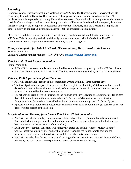### *Reporting*

Reports of conduct that may constitute a violation of VAWA, Title IX, Discrimination, Harassment or Hate crimes may be made to Executive Director Jennifer Mongan or any other member of administration. All incidents should be reported even if a significant time has passed. Reports should be brought forward as soon as possible after the alleged conduct occurs. Prompt reporting will better enable the school to respond, determine the issues, and provide an appropriate resolution and/or action. However, delaying a report may impede the school's ability to conduct an investigation and/or to take appropriate remedial actions.

Please be advised that conversations with fellow students, friends or outside confidential sources are not VAWA or Title IX reporting and will additionally require you to speak with the VAWA or Title IX coordinators listed in this policy. See the confidentiality section on page 11.

### *Filing a Complaint for Title IX, VAWA, Discrimination, Harassment, Hate Crimes*

To file a complaint: Executive Director Jennifer Mongan – (970) 302-7006, [mongan@natural-therapy.com](mailto:mongan@natural-therapy.com)

### *Title IX and VAWA formal complaints*

Formal complaint:

- A Title IX formal complaint is a document filed by a complainant or signed by the Title IX Coordinator.
- A VAWA formal complaint is a document filed by a complainant or signed by the VAWA Coordinator.

# *Title IX, VAWA formal complaint Timeline*

- ANT will acknowledge receipt of the complaint in writing within (3) three business days.
- The investigation/hearing part of the process will be completed within thirty (30) business days from the date of the written acknowledgment of receipt of the complaint unless circumstances demand that an extension be granted by the Executive Director.
- The school will issue a written statement of the findings of the investigation within fourteen (14) business days of the completion of the investigation/hearing. The Findings Statement will be sent to the Complainant and Respondent via certified mail with return receipt through the U.S. Postal System.
- Appeals of investigation/hearing outcomes/decisions may be submitted within five (5) business days after date of written receipt of the decision.

### *Investigation and Hearing for a formal Title IX or VAWA complaint*

- ANT will provide an equally prompt, transparent and unbiased investigation to both the complainant (individual who is alleged to be the victim of the conduct) and the respondent (an individual who has been reported to be the perpetrator of the conduct).
- During the investigation, the school will objectively gather any and all evidence, review all school policies, speak with faculty, staff and/or students and respond to the initial complainant and the respondent. Any evidence gathered will be available to either party upon request.
- ANT will provide a live (in-person or virtual) hearing with cross-examination that will be recorded and will notify the complainant and respondent in writing of the date of the hearing.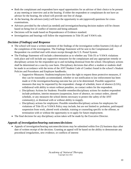- Both the complainant and respondent have equal opportunities for an advisor of their choice to be present at any meeting or interview and at the hearing. If either the respondent or complainant do not have an advisor for the hearing, the school will provide one free of charge.
- At the hearing, the advisors (only) will have the opportunity to ask (approved) questions for crossexaminations.
- Advisors provided by the school (as needed) and investigation/hearing decision makers will be chosen based on being free of conflict of interest and being unbiased.
- Decisions will be made based on Preponderance of Evidence standard.
- Investigations and hearings will follow the requirements in Title IX and VAWA rule.

### *Decision (Findings) and Response*

- The school will issue a written statement of the findings of the investigation within fourteen (14) days of the completion of the investigation. The Findings Statement will be sent to the Complainant and Respondent via certified mail with return receipt through the U.S. Postal System.
- The Findings Statement will include a determination as to whether any Title IX or VAWA violations took place and will include any supportive measures for the complainant and any appropriate remedy or disciplinary actions for the respondent up to and including dismissal from the school. Disciplinary actions shall be determined on a case-by-case basis. Disciplinary decisions that affect a student or students shall be made in accordance with the terms of the ANT Student Code of Conduct found in the school's Student Policies and Procedures and Employee handbooks.
	- o Supportive Measures: Students/employees have the right to request these protective measures, if they can be reasonably accommodated, whether or not notification to law enforcement has been made or if the investigation/hearing outcome has yet to be determined. Possible supportive measures that may be requested by the respondent: change of schedule, leave of absence (LOA), withdrawal with ability to return without penalties, no contact orders for the respondent.
	- o Disciplinary Actions for Students: Possible remedies/disciplinary actions for student respondent include probation, interim measures (suspension, leave of absence, no contact orders, altered schedule, or any measures the school deems necessary to protect the safety of the ANT community), or dismissal with or without ability to reapply.
	- o Disciplinary actions for employees: Possible remedies/disciplinary actions for employees for violations of Title IX or VAWA Policy may include, but are not limited to: probation, paid/unpaid suspension from work, altered work schedule, training or counseling specific to the offense, or termination with or without the opportunity to re-apply for future employment.
- The final decision for any disciplinary action taken will be made by the Executive Director.

### *Appeals of investigation/hearing outcomes/decisions*

• Appeals of investigation/hearing outcomes/decisions may be submitted within five (5) business days after date of written receipt of the decision. Granting an appeal will be based on the ability to demonstrate any procedural irregularities, new evidence, or conflicts of interest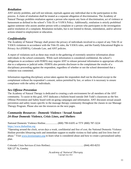### *Retaliation*

ANT strictly prohibits, and will not tolerate, reprisals against any individual due to the participation in this process. A claim of retaliation shall be treated as a separate allegation of discrimination. The Academy of Natural Therapy prohibits retaliation against a person who reports any form of discrimination, act of violence or harassment as defined in the school's Title IX or VAWA Policy. Additionally, retaliation is strictly prohibited against someone who assists another person with a complaint or a person who participates in the investigation and/or resolution of a complaint. Retaliation includes, but is not limited to threats, intimidation, and/or adverse actions related to employment or education.

### *Confidentiality*

The Academy of Natural Therapy shall protect the privacy of individuals involved in a report of any Title IX or VAWA violations in accordance with the Title IX rules, the VAWA rules, and the Family Educational Rights to Privacy Act (FERPA), Colorado Law, and ANT policies.

A report of violations such as these may result in the gathering of extremely sensitive information about individuals in the school community. While such information is considered confidential, the school's obligations in accordance with FERPA may require ANT to release personal information to appropriate officials due to a subpoena or judicial order. FERPA also permits disclosure to the complainant the results of a disciplinary proceeding against the respondent, regardless of whether or not the school determined that a violation was committed.

Information regarding disciplinary action taken against the respondent shall not be disclosed except to the complainant without the respondent's consent, unless permitted by law, or unless it is necessary to ensure compliance with the safety of individuals.

### *Sex Offense Prevention*

The Academy of Natural Therapy is dedicated to creating a safe environment for all members of the ANT community. To assist in this goal, ANT dedicates a bulletin board outside Deb Todd's classroom as the Sex Offense Prevention and Safety board with on-going campaigns and information. ANT discusses sexual assault prevention and safety issues specific to the massage therapy community throughout the classes in our Massage Therapy Program. Please also see the resources on the next pages.

### *Community Resources - Domestic Violence / Sexual Assault 24-Hour Domestic Violence, Crisis Lines, and Shelters*

National Domestic Violence Hotline...................(800) 799-SAFE or TTY (800) 787-3224 [https://www.thehotline.org](https://www.thehotline.org/)

"Operating around the clock, seven days a week, confidential and free of cost, the National Domestic Violence Hotline provides lifesaving tools and immediate support to enable victims to find safety and live lives free of abuse." Visit [www.loveisrespect.org](http://www.loveisrespect.org/) to learn what is considered abuse and how to create a personalized safety plan.

Colorado Crisis Services (Crisis Hotline)……………………………….... (844) 493-8255 928 12<sup>th</sup> St, Greeley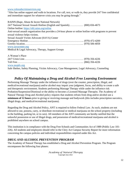#### [www.coloradocrisisservices.org](http://www.coloradocrisisservices.org/)

"Also has online support and walk-in locations. For call, text, or walk-in, they provide 24/7 free confidential and immediate support for whatever crisis you may be going through."

| RAINN (Rape, Abuse & Incest National Network)                                                             |
|-----------------------------------------------------------------------------------------------------------|
|                                                                                                           |
| Online hotline: https://ohl.rainn.org/online                                                              |
| Anti-sexual assault organization that provides a 24-hour phone or online hotline with programs to prevent |
| sexual violence helps victims.                                                                            |
| Sexual Assault Victim Advocate (SAVA) Center                                                              |
|                                                                                                           |
|                                                                                                           |
| www.savacenter.org                                                                                        |
| Medical & Legal Advocacy, Therapy, Support Groups                                                         |
| A Woman's Place                                                                                           |
|                                                                                                           |
|                                                                                                           |
| www.awpdv.org                                                                                             |

Safe Shelter, Safety Planning, Victim Advocacy, Case Management, Legal Advocacy, Counseling

# *Policy Of Maintaining a Drug and Alcohol-Free Learning Environment*

Performing Massage Therapy under the influence of drugs (over the counter, prescription, illegal, and medical/recreational marijuana) and/or alcohol may impair your judgment, focus, and ability to create a safe and therapeutic environment. Students performing Massage Therapy while under the influence risk Probation/Suspension/Dismissal or the ability to become a Licensed Massage Therapist. The Academy of Natural Therapy Drug and Alcohol policy requires that students refrain from drug and/or alcohol use a **minimum of 12 hours** prior to giving or receiving massage and bodywork (this includes prescription narcotics, illegal drugs, and medical/recreational marijuana).

Regarding the Drug and Alcohol Policy, ANT is required to follow Federal Law. As such, students are not allowed to use, possess, carry, or distribute recreational or medical marijuana on the school property (including in the building, parking lot, or in cars). All members of the ANT community are hereby notified that the unlawful possession or use of illegal drugs, and possession of medical/recreational marijuana and alcohol is prohibited anywhere on school campus.

This institution is in compliance with the Drug Free Schools and Communities Act of 1989 (Public Law 101- 226). All students and employees should refer to the Clery Act Campus Security Report for more information concerning the campus policies and individual responsibilities required under this Act.

### *DRUG AND ALCOHOL PREVENTION PROGRAM*

The Academy of Natural Therapy has established a Drug and Alcohol Prevention Program. The Program encompasses the following four phases: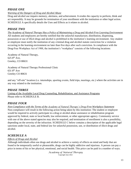# *PHASE ONE*

### *Warning of the Dangers of Drug and Alcohol Abuse*

Drug and alcohol use impairs memory, alertness, and achievement. It erodes the capacity to perform, think and act responsibly. It may be grounds for termination of your enrollment with the institution or other legal action. SCHEDULE A specifically details the Uses and Effects as it relates to alcohol.

### *PHASE TWO*

*The Academy of Natural Therapy Has a Policy of Maintaining a Drug and Alcohol-Free Learning Environment* All students and employees are hereby notified that the unlawful manufacture, distribution, dispensing, possession or use of illicit drugs and alcohol is prohibited in the institution's learning environment. Any student or employee must notify the institution of any criminal drug and alcohol statute conviction for a violation occurring in the learning environment no later than five days after such conviction. In compliance with the Drug-Free Workplace Act of 1988, the institution's "workplace" consists of the following locations:

Academy of Natural Therapy,  $625$   $8<sup>th</sup>$  Ave. Greeley, CO 80631

Academy of Natural Therapy Professional Clinic 631 8th Ave Greeley CO 80631

and any "off-site" location (i.e. internships, sporting events, field trips, meetings, etc.) where the activities are in any way related to the institution.

### *PHASE THREE*

Listing of the Available Local Drug Counseling, Rehabilitation, and Assistance Programs Please refer to SCHEDULE B.

# *PHASE FOUR*

### *Non-Compliance with the Terms of the Academy of Natural Therapy's Drug-Free Workplace Statement*

Non-compliance will result in the following action being taken by this institution: The student or employee would be required to actively participate in a drug or alcohol abuse assistance or rehabilitation program approved by federal, state or local health, law enforcement, or other appropriate agency. Community service with one of the above stated agencies may also be required, and termination of enrollment is also a possibility, depending on the severity of the infraction. SCHEDULE C below contains a description of the applicable legal sanctions under local, state, and federal law for unlawful possession, use, or distribution of illicit drugs and alcohol.

### *SCHEDULE A*

### *Effects of Drugs and Alcohol*

Although individuals often use drugs and alcohol to achieve a variety of effects on mind and body that are found to be temporarily useful or pleasurable, drugs can be highly addictive and injurious. A person can pay a price in terms of his or her physical, emotional, and social health. This price can be paid in a number of ways.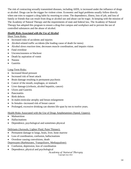The risk of contracting sexually transmitted diseases, including AIDS, is increased under the influence of drugs or alcohol. Drugs can be the trigger for violent crime. Economic and legal problems usually follow directly when one tries to support a drug habit by resorting to crime. The dependence, illness, loss of job, and loss of family or friends that can result from drug or alcohol use and abuse can be tragic. In keeping with the mission of The Academy of Natural Therapy and the requirements of state and federal law, The Academy of Natural Therapy has adopted this program to ensure a drug-free campus and workplace and to prevent the use of controlled substances and the abuse of alcohol.

### *Health Risks Associated with the Use of Alcohol*

### Short Term Risks:

- Increased risks of accidents and injuries
- Alcohol-related traffic accidents (the leading cause of death for teens)
- Alcohol slows reaction time, decreases muscle coordination, and impairs vision
- Fatal overdose
- Unconsciousness or blackout
- Death by aspiration of vomit
- Nausea
- Gastritis

### Long-Term Risks:

- Increased blood pressure
- Increased risk of heart attack
- Brain damage resulting in permanent psychosis
- Cancer of the mouth, esophagus, or stomach
- Liver damage (cirrhosis, alcohol hepatitis, cancer)
- Ulcers and Gastritis
- Pancreatitis
- Birth defects
- In males-testicular atrophy and breast enlargement
- In females--increased risk of breast cancer
- Prolonged, excessive drinking can shorten life span by ten to twelve years.

#### Health Risks Associated with the Use of Drugs Amphetamines (Speed, Uppers):

- Malnutrition
- Hallucinations
- Dependence, psychological and sometimes physical

#### Deliriants (Aerosols, Lighter Fluid, Paint Thinner):

- Permanent damage to lungs, brain, liver, bone marrow
- Loss of coordination, confusion, hallucinations
- Overdose causing convulsions, death

### Depressants (Barbiturates, Tranquilizers, Methaqualone):

- Confusion, depression, loss of coordination
- Dependence, physical and psychological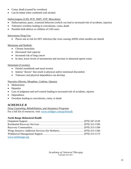- Coma, death (caused by overdose)
- Can be lethal when combined with alcohol

### Hallucinogens (LSD, PCP, DMT, STP, Mescaline):

- Hallucinations, panic, irrational behaviors (which can lead to increased risk of accidents, injuries)
- Tolerance overdose leading to convulsions, coma, death
- Possible birth defects in children of LSD users

### Intravenous Drug Use:

• Places one at risk for HIV infection (the virus causing AIDS) when needles are shared

### Marijuana and Hashish:

- Chronic bronchitis
- Decreased vital capacity
- Increased risk of lung cancer
- In men, lower levels of testosterone and increase in abnormal sperm count

### Stimulants (Cocaine):

- Painful nosebleeds and nasal erosion
- Intense "downs" that result in physical and/or emotional discomfort
- Tolerance and physical dependence can develop

### Narcotics (Heroin, Morphine, Codeine, Opium):

- Malnutrition
- Hepatitis
- Loss of judgment and serf-control leading to increased risk of accidents, injuries
- Dependence
- Overdose leading to convulsions, coma, or death

# *SCHEDULE B*

*Drug Counseling, Rehabilitation, and Assistance Programs* For a full list of resources, visit: [www.weldgov.com/go/letstalk](http://www.weldgov.com/go/letstalk)

### *North Range Behavioral Health*

| www.northrange.org |  |
|--------------------|--|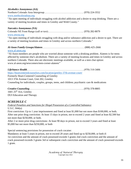### *Alcoholics Anonymous (AA)*

Northern Colorado Area Intergroup………………………………………. (970) 224-3552

#### [www.northcoloradoaa.org](http://www.northcoloradoaa.org/)

"An open meeting of individuals struggling with alcohol addiction and a desire to stop drinking. There are a variety of meeting locations and times in Greeley and Weld County."

#### *Narcotics Anonymous (NA)*

Colorado NE Front Range (call or text)…………………………………... (970) 282-8079

#### [www.otwna.org](http://www.otwna.org/)

"An open meeting of individuals struggling with drug and/or substance addiction and a desire to quit. There are a variety of meeting locations and times in Greeley and across northern Colorado."

# *Al-Anon Family Groups/Alateen*…………………………………………. (888) 425-2666

#### [www.al-anon.org](http://www.al-anon.org/)

"Al-Anon members are people who are worried about someone with a drinking problem. Alateen is for teens affected by someone else's alcoholism. There are a variety of meeting locations and times in Greeley and across northern Colorado. There also are electronic meetings available, as well as a teen chat option: www.al-anon.org/newcomers/teen-corner-alateen/"

*LifeStance Health*………………………………………………………….(970) 310-3406 <https://heartcenteredcounselors.com/location/greeley-37th-avenue-court/>

Formerly Heart-Centered Counseling of Greeley 1013 37th Avenue Court, Unit 202, Greeley Counseling for individuals, couples, groups, teens, and children; psychiatric care & medications

*Creative Counseling*……………………………………………………….(970) 378-8805  $1601$   $25<sup>th</sup>$  Ave, Greeley DUI Education and Therapy

### *SCHEDULE C*

*Federal Penalties and Sanctions for Illegal Possession of a Controlled Substance*

U.S.C. 844(a)

First conviction: Up to 1 year imprisonment and fined at least \$1,000 but not more than \$100,000, or both. After one prior drug conviction: At least 15 days in prison, not to exceed 2 years and fined at least \$2,500 but not more than \$250,000, or both.

After 2 or more prior drug convictions: At least 90 days in prison, not to exceed 3 years and fined at least \$5,000 but not more than \$250,000, or both

Special sentencing provisions for possession of crack cocaine:

Mandatory at least 5 years in prison, not to exceed 20 years and fined up to \$250,000, or both if: 1st conviction and the amount of crack possessed exceeds 5 grams 2nd crack conviction and the amount of crack possessed exceeds 3 grams 3rd or subsequent crack conviction and the amount of crack possessed exceeds 1 gram.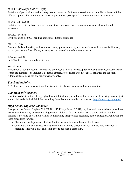### 21 U.S.C. 853(A)(2) AND 881(A)(7)

Forfeiture of personal and real property used to possess or facilitate possession of a controlled substance if that offense is punishable by more than 1-year imprisonment. (See special sentencing provisions re: crack)

#### 21 U.S.C. 861(A)(4)

Forfeiture of vehicles, boats, aircraft or any other conveyance used to transport or conceal a controlled substance.

21U.S.C. 844a 31 Civil fine up to \$10,000 (pending adoption of final regulations).

#### 21U.S.C. 853a

Denial of Federal benefits, such as student loans, grants, contracts, and professional and commercial licenses, up to 1 year for the first offense, up to 5 years for second and subsequent offenses.

18U.S.C. 922(g) Ineligible to receive or purchase firearm.

#### Miscellaneous

Revocation of certain Federal licenses and benefits, e.g. pilot's licenses, public housing tenancy, etc., are vested within the authorities of individual Federal agencies. Note: These are only Federal penalties and sanction. Additional State penalties and sanctions may apply.

### *Vaccination Policy*

ANT does not require vaccinations. This is subject to change per state and local regulations.

### *Copyright Infringement*

Unauthorized distribution of copyrighted material, including unauthorized peer-to-peer file sharing, may subject you to civil and criminal liabilities, including fines. For more detailed information:<http://www.copyright.gov/>

### *High School Diploma Validation*

Changes to the Federal Register/Vol. 75, No. 117/Friday, June 18, 2010, requires institutions to have procedures to evaluate the validity of a student's high school diploma if the institution has reason to believe that the diploma is not valid or was not obtained from an entity that provides secondary school education. Following are those procedures for ANT:

- Check with the department of education for the state in which the school is located.
- Contact the Better Business Bureau or the State Attorney General's office to make sure the school is operating legally in a state and see if anyone has filed a complaint.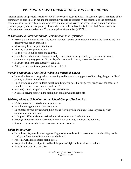# *PERSONAL SAFETY/RISK REDUCTION PROCEDURES*

Personal safety and property security at ANT is everyone's responsibility. The school urges all members of the community to participate in making the community as safe as possible. When members of the community develop sensible security habits, our awareness and precaution assists the school in safeguarding persons, personal property and school property. Please check the bulletin board outside Deb Todd's classroom for information on personal safety and Violence Against Women Act (VAWA).

### *If You Sense a Potential Threat Personally or as a Bystander*

- Assess the situation and then take action. You will have to decide how immediate the threat is and how decisive your action should be.
- Move away from the potential threat.
- Join any group of people nearby.
- Go to a well-lit public place and call 911.
- If you believe the threat is imminent, and you see people nearby to help; yell, scream, or make a commotion any way you can. If your key-fob has a panic button, please use that as well.
- If you see someone else in trouble, call 911.
- After you have avoided a potential threat, call 911.

### *Possible Situations That Could Indicate a Potential Threat*

- Unusual noises, such as gunshots, screaming and/or anything suggestive of foul play, danger, or illegal activity. Call 911 immediately.
- Open or broken doors/windows, which could signify a possible burglary in progress or the scene of a completed crime. Leave to safety and call 911.
- Person(s) sitting in a parked car for an extended time.
- A vehicle driving slowly in the parking lot at night with its lights off.

### *Walking Alone to School or on the School Campus/Parking Lot*

- Walk purposefully, briskly, and keep moving.
- Avoid traveling the same route every day.
- Be mindful of your environment; limit phone viewing while walking. Have keys ready when approaching a locked door.
- If dropped off by a friend or taxi, ask the driver to wait until safely inside.
- Arrange a buddy system with someone you know to walk to and from the building.
- Stay alert to surroundings and trust your personal instincts.

### *Safety in Your Car*

- Have the car keys ready when approaching a vehicle and check to make sure no one is hiding inside. Lock your doors immediately, once inside the car.
- Park in a well-lit designated parking area.
- Keep all valuables, backpacks and book bags out of sight in the trunk of the vehicle.
- ALWAYS LOCK YOUR CAR!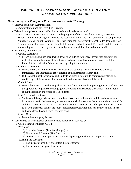# *EMERGENCY RESPONSE, EMERGENCY NOTIFICATION AND EVACUATION PROCEDURES*

### *Basic Emergency Policy and Procedures and Timely Warning*

- Call 911 and notify Administration
	- o Administration notifies Executive Director.
- Take all appropriate actions/notifications to safeguard students and staff.
	- $\circ$  In the event that a situation arises that in the judgment of the Staff/Administration, constitutes a serious, immediate, or ongoing threat to the health or safety of the ANT Community, a campus wide "timely warning" or notification will be issued using the Emergency Protocol Codes detailed below. The warning will be issued by direct contact, by phone, and/or by email. For weather related notices, the warning will be issued by direct contact, by local or social media, and/or the email.
- Emergency Protocol Codes
	- o Code L: Lockdown
		- Means the building has been locked down to an outside influence. Classes may continue, but instructors should be aware of the situation and proceed with caution and upon completion immediately check with Administration regarding the situation.
	- o Code E: Evacuation
		- Means there is an immediate need to evacuate the building. Instructors should end class immediately and instruct and assist students to the nearest emergency exit.
		- If the school must be evacuated and students are unable to return to campus students will be notified by their instructors of an alternate location where classes will be held.
	- o Code S: Stop
		- Means that there is a need to stop class sessions due to a possible impending threat. Students have the opportunity to gather belongings (quickly) while the instructors check with Administration about the situation and where to lead students.
	- o Code T: Tornado Protocol
		- **EXECUTE:** Students will be quickly escorted from their classrooms to the student clinic in the Academy basement. Once in the basement, instructors/admin shall make sure that everyone is accounted for and that a phone and radio are present. In the event of a tornado, the safest position is for students to sit with their back against the south (most interior) wall with their head between their knees, and hand clasped over the neck for protection.
	- o Cancel Code
		- Means the emergency is over
- Take charge of area/situation until incident is contained or relieved by:
	- o Crisis Team Coordinator (CTC):

### Weekdays

- 1) Executive Director (Jennifer Mongan) or
- 2) Financial Aid Director (Tim Gross) or
- 3) Director of Accounts (Mary Jo Thaxton), depending on who is on campus at the time Evening and Weekends
	- 1) The instructor who first encounters the emergency or
	- 2) The instructor designated by the above.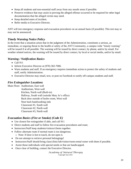- Keep all students and non-essential staff away from any unsafe areas if possible.
- Preserve evidence that may assist in proving the alleged offense occurred or be required for other legal documentation that the alleged victim may need.
- Keep detailed notes of incident.
- Refer media to Executive Director.

ANT will test emergency response and evacuation procedures on an annual basis (if possible). This test may or may not be announced.

### *Timely Warning Notice Policy*

In the event that a situation arises that in the judgment of the Administration, constitutes a serious, an immediate, or ongoing threat to the health or safety of the ANT Community, a campus wide "timely warning" will be issued if at all possible. The warning will be issued by direct contact, by phone, and/or by email. For weather related notices, the warning will be issued by direct contact, by local or social media, and/or by email.

### *Warning / Notification Basics*

- Call 911
- Inform Executive Director at (970) 302-7006.
- Warn students and staff. If an emergency requires immediate action to protect the safety of students and staff, notify Administration.
- Executive Director may email, text, or post on Facebook to notify off-campus students and staff.

### *Fire Extinguisher Locations*

Main Floor: Auditorium, East wall

Auditorium, West wall Kitchen, North wall (Built-in) Hallway, South wall (outside Mary Jo's office) Back door outside of hydro room, West wall Near back handwashing sink Classroom #1, South wall Classroom #2, North wall Classroom #3, North wall

### *Evacuation Basics (Fire or Smoke) (Code E)*

- Use closest fire extinguisher if able, and call 911
- Direct students and staff to follow fire evacuation procedures and route.
- Instructors/Staff keep students/visitors/clients together.
- Follow alternate route if normal route is too dangerous.
	- o Note: If door is hot to touch, do not open it.
- Do not attempt to retrieve personal belongings!
- Instructors/Staff should bring class/clinic/lab/visitor/room-rental roster with them if possible.
- Assist those individuals with special needs or that are handicapped.
- Once clear of building, contact the Executive Director.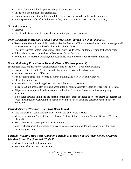- Meet at George's Bike Shop across the parking lot, west of ANT.
- Instructors should take class attendance.
- No one may re-enter the building until determined safe to do so by police or fire authorities.
- Only speak with police/fire authorities if they initiate conversation (Do not distract them).

### *Gas Odor (Code E)*

- Call 911
- Direct students and staff to follow fire evacuation procedures and route.

# *Upon Receiving a Message That a Bomb Has Been Planted in School (Code E)*

- Receiver notifies police (call 911) and notifies the Executive Director to send email or text message to all active students to say that the school is under a bomb threat.
- Executive Director orders evacuation of all persons inside school building(s) using text and/or email.
- Follow the evacuation procedure in Evacuation Basics Section.
- No one may re-enter the building until determined safe to do so by police or fire authorities.

### *Basic Sheltering Procedures- Tornado/Severe Weather (Code T)*

Shelter/Safe areas are hallways or small interior rooms on the lowest floor of the building.

- Executive Director or CTC directs students and staff to assemble in basement.
- Email or text message will be sent.
- Require all students/staff to come inside the building and stay away from windows.
- Close all exterior doors.
- Instructors/Staff should bring class roster with them to the basement.
- Instructors/Staff should stay with and account for all students/clients/visitors after arriving in safe area.
- All persons must remain in safe areas until notified by Executive Director, staff, or emergency responders.
- If a tornado strike is imminent, the safest position is for those sheltered to sit with their back against the south (most interior) wall with their head between their knees, and hand clasped over the neck for protection.

### *Tornado/Severe Weather Watch Has Been Issued*

- This indicates that conditions are favorable for tornado/severe weather.
- Monitor Emergency Alert Stations or NOAA Weather Stations (National Weather Service, Weather Channel).
- Bring and keep all school persons inside building.
- Identify shelter areas; be prepared to move to safe areas at a moment's notice and follow the basic sheltering procedures.

### *Tornado Warning Has Been Issued or Tornado Has Been Spotted Near School or Severe Weather Siren Has Sounded (Code T)*

- Move students and staff to safe areas.
- Remind teachers to take class rosters.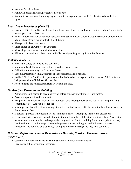- Account for all students.
- Follow all basic sheltering procedures listed above.
- Remain in safe area until warning expires or until emergency personnel/CTC has issued an all-clear signal.

# *Lock–Down Procedures (Code L)*

- Executive Director or Staff will issue lock-down procedures by sending an email or text and/or sending a messenger to each classroom.
- An email, text message or Facebook post may be issued to warn students that the school is on lock down.
- Main Lobby Door remains unlocked at all times.
- Always lock classroom doors.
- Close blinds on all windows in your area.
- Move all persons away from windows and doors.
- Allow no one outside of classrooms until all-clear signal is given by Executive Director.

### *Violence (Code L)*

- Ensure the safety of students and staff first.
- Implement Lock-Down or evacuation procedures as necessary.
- Call 911 and then notify the Executive Director.
- School Director may email, post text or Facebook message if needed.
- Notify CPR/First Aid Certified persons in school of medical emergencies, if necessary. All Faculty and Lab personnel are CPR/First Aid certified.
- Keep students and nonessential staff away from the area.

### *Unidentified Person in the Building*

- Ask another staff person to accompany you before approaching stranger, if warranted.
- Greet stranger and identify yourself.
- Ask person the purpose of his/her visit without using leading information. (i.e. "May I help you find something?" not "Are you here for the ?"
- Inform person that all visitors must register at the front office or if after hours at the lab/clinic desk on the first or second floor.
- If person's purpose is not legitimate, ask him/her to leave. Accompany them to the closest exit.
- If person asks to speak with a student or client, do not identify that the student/client is here. Ask visitor for name and phone number and request that they wait outside the building (as we are a private school). Let them know: "I will attempt to locate the person you are looking for and IF it turns out there is someone in the building by that name, I will give them the message and they may call you".

### *If Person Refuses to Leave or Demonstrates Hostility, Consider Them an Intruder (Code S or L)*

- Call 911 and Executive Director/Administration if intruder refuses to leave.
- Give police full description of intruder.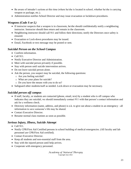- Be aware of intruder's actions at this time (where he/she is located in school, whether he/she is carrying weapon or package, etc.).
- Administration notifies School Director and may issue evacuation or lockdown procedures.

### *Weapons (Code S or L)*

- If instructor suspects that a weapon is in classroom, he/she should confidentially notify a neighboring instructor. Instructor should then return and remain in the classroom.
- Neighboring instructor should call 911 and follow their directions; notify the Directors once safety is ensured.
- Evacuation or Lock-down procedures may be issued.
- Email, Facebook or text message may be posted or sent.

### *Suicidal Person on the School Campus*

- Confirm information.
- Call 911.
- Notify Executive Director and Administration.
- Meet with suicidal person privately if possible.
- Stay with person until suicide intervention arrives.
- Do not leave suicidal person alone.
- Ask the person, you suspect may be suicidal, the following questions:
	- o Are you feeling suicidal?
	- o What are your plans for suicide?
	- o Do you have the means with you to do so?
- Safeguard other students/staff as needed. Lock-down or evacuation may be necessary.

# *Suicidal person off campus*

- If staff, faculty, or students are contacted (phone, email, text) by a student who is off campus who indicates they are suicidal, we should immediately contact 911 with that person's contact information and ask for a wellness check.
- Directory information (name, address, and phone) is o.k. to give out about a student in an emergency all information to save someone's life may be shared.
- Contact Executive Director.
- Resume normal class routines as soon as possible.

### *Serious Injury, Illness, Suicide Attempt*

- Call 911.
- Notify CPR/First Aid Certified persons in school building of medical emergencies. (All faculty and lab personnel are CPR/First Aid certified).
- Contact Executive Director.
- Keep all students and non-essential staff from the area.
- Stay with the injured person until help arrives.
- Cooperate with emergency personnel.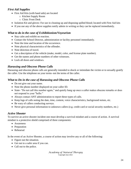### *First Aid Supplies*

- First Aid Kits (with band aids) are located
	- o Kitchen Supply Room
	- o Clinic Front Desk
- Isolation Kit and gloves: For use in cleaning up and disposing spilled blood; located with First Aid kits
- If you use any of the above supplies notify admin in writing so they can be replaced immediately.

### *What to do in the case of Exhibitionism/Voyeurism*

- Stay calm and exhibit no reaction.
- Contact the School Director, administration or facility personnel immediately.
- Note the time and location of the occurrence.
- Note physical characteristics of the offender.
- Note direction of travel.
- Get a description of the vehicle (make, model, color, and license plate number).
- Get the names and phone numbers of other witnesses.
- Lock all doors and windows.

### *Harassing and Obscene Phone Calls*

Harassing and obscene phone calls are generally intended to shock or intimidate the victim or to sexually gratify the caller. Use the telephone on your terms–not the terms of the caller.

### *What to Do in the case of Harassing and Obscene Phone Calls*

- Do not give out your name.
- Note the phone number displayed on your caller ID.
- State- "Do not call this number again," and quietly hang up once a caller makes obscene remarks or does not respond to your "hello."
- Always contact ANT administration to report these types of calls.
- Keep logs of calls noting the date, time, content, voice characteristics, background noises, etc.
- Be wary of callers conducting surveys.
- Never give personal information to unknown callers (e.g. credit card or social security numbers, etc.)

### *Active Shooter*

To survive an active shooter incident one must develop a survival mindset and a course of action. A survival mindset is a protective shield comprised of three components:

- Awareness
- Preparation
- Rehearsal

In the event of an Active Shooter, a course of action may involve any or all of the following:

- Figure out the situation.
- Get out to a safer area if you can.
- Call out to the police.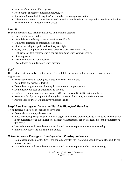- Hide out if you are unable to get out.
- Keep out the shooter by blocking doorways, etc.
- Spread out (do not huddle together) and quietly develop a plan of action.
- Take out the shooter. Assume the shooter's intentions are lethal and be prepared to do whatever it takes (survival mindset) to neutralize the threat.

### *Assault*

To avoid circumstances that may make you vulnerable to assault:

- Never jog alone at night.
- Avoid dense shrubbery where an assailant could hide.
- Know the locations of emergency telephones.
- Stick to well-lighted paths and walkways at night.
- Carry both a cell phone and whistle / personal alarm to summon help.
- Let friends or family know where you are going and when you will return.
- Stay in groups.
- Keep windows and doors locked.
- Keep drapes or blinds closed when dressing

# *Theft*

Theft is the most frequently reported crime. The best defense against theft is vigilance. Here are a few suggestions:

- Never leave personal belongings unattended, even for a minute.
- Keep doors and windows locked.
- Do not keep large amounts of money in your room or on your person.
- Do not lend your keys or credit cards to anyone.
- Engrave ID numbers on personal property (Do not use your Social Security number).
- Keep records of your property including description, make, model, and serial numbers.
- Always lock your car. Do not leave valuables inside.

### *Suspicious Packages or Letters and Possible Biological Materials*

If You Receive a Suspicious Package or Envelope:

- Do not shake or empty the contents.
- Place the envelope or package in a plastic bag or container to prevent leakage of contents. If a container is not available, cover the envelope or package with (clothing, paper, trashcan, etc.) and do not remove this cover.
- Leave the room and close the door or section off the area to prevent others from entering.
- Immediately report the incident to the police.

### *If You Receive a Package or Envelope with a Powdery Substance*

- Do not clean up the powder. Cover the spilled contents with (clothing, paper, trashcan, etc.) and do not remove this cover.
- Leave the room and close the door or section off the area to prevent others from entering.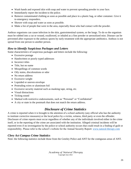- Wash hands and exposed skin with soap and water to prevent spreading powder to your face.
- Immediately report the incident to the police.
- Remove contaminated clothing as soon as possible and place in a plastic bag, or other container. Give it to emergency responders.
- Shower with soap and water as soon as possible.
- Make a list of people that were in the area, especially those who had contact with the powder.

Anthrax organisms can cause infection in the skin, gastrointestinal system, or the lungs. To do so the organism must be rubbed into a cut or wound, swallowed, or inhaled as a fine powder or aerosolized mist. Disease can be prevented after exposure to the anthrax spores by early treatment with the appropriate antibiotics. Anthrax is not spread from one person to another person.

### *How to Identify Suspicious Packages and Letters*

Some characteristics of suspicious packages and letters include the following:

- Excessive postage
- Handwritten or poorly typed addresses
- Incorrect titles
- Title, but no name
- Misspellings of common words
- Oily stains, discolorations or odor
- No return address
- Excessive weight
- Lopsided or uneven envelope
- Protruding wires or aluminum foil
- Excessive security material such as masking tape, string, etc.
- Visual distractions
- Ticking sound
- Marked with restrictive endorsements, such as "Personal" or "Confidential"
- A city or state in the postmark that does not match the return address.

# *Disclosure of Crime Statistics*

A crime is reported when it is brought to the attention of a school authority (any official who has the authority to institute corrective measures) or the local police by a victim, witness, third party or even the offender. Disclosure of crime reports must occur regardless of whether any of the individuals involved either in the crime itself, or in the reporting of the crime are associated with the institution. Alleged criminal incidents will be reported even if no investigation by the police or school authority occurs that could result in a finding of guilt or responsibility. Please refer to the school's website for the Annual Security Report: [www.natural-therapy.com](http://www.natural-therapy.com/)

### *Clery Act Campus Crime Statistics*

Note: the following statistics include those from the Greeley Police and ANT for the contiguous areas of ANT.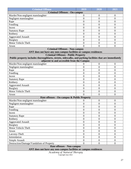| <b>Criminal Offense</b>                                                                                 | 2019             | 2020             | 2021             |
|---------------------------------------------------------------------------------------------------------|------------------|------------------|------------------|
| <b>Criminal Offenses - On-campus</b>                                                                    |                  |                  |                  |
| Murder/Non-negligent manslaughter                                                                       | 0                | $\boldsymbol{0}$ | $\theta$         |
| Negligent manslaughter                                                                                  | $\overline{0}$   | $\overline{0}$   | $\overline{0}$   |
| Rape                                                                                                    | $\overline{0}$   | $\overline{0}$   | $\overline{0}$   |
| Fondling                                                                                                | $\overline{0}$   | $\overline{0}$   | $\mathbf{0}$     |
| Incest                                                                                                  | $\overline{0}$   | $\overline{0}$   | $\mathbf{0}$     |
| <b>Statutory Rape</b>                                                                                   | $\overline{0}$   | $\overline{0}$   | $\boldsymbol{0}$ |
| Robbery                                                                                                 | $\overline{0}$   | $\overline{0}$   | $\overline{0}$   |
| <b>Aggravated Assault</b>                                                                               | $\overline{0}$   | $\overline{0}$   | $\overline{0}$   |
| <b>Burglary</b>                                                                                         | $\overline{0}$   | $\overline{0}$   | $\mathbf{0}$     |
| Motor Vehicle Theft                                                                                     | $\overline{0}$   | $\overline{0}$   | $\mathbf{0}$     |
| Arson                                                                                                   | $\Omega$         | $\overline{0}$   | $\overline{0}$   |
| <b>Criminal Offenses - Non-campus</b>                                                                   |                  |                  |                  |
| ANT does not have any non-campus facilities or campus residences                                        |                  |                  |                  |
| <b>Criminal Offenses - Public Property</b>                                                              |                  |                  |                  |
| Public property includes thoroughfares, streets, sidewalks, and parking facilities that are immediately |                  |                  |                  |
| adjacent to and accessible from the Campus                                                              |                  |                  |                  |
| Murder/Non-negligent manslaughter                                                                       | 0                | $\boldsymbol{0}$ | $\overline{0}$   |
| Negligent manslaughter                                                                                  | $\overline{0}$   | $\overline{0}$   | $\theta$         |
| Rape                                                                                                    | $\overline{0}$   | $\overline{0}$   | $\overline{0}$   |
| Fondling                                                                                                | $\overline{0}$   | $\overline{0}$   | $\theta$         |
| Incest                                                                                                  | $\overline{0}$   | $\overline{0}$   | $\mathbf{0}$     |
| <b>Statutory Rape</b>                                                                                   | $\overline{0}$   | $\overline{0}$   | $\overline{0}$   |
| Robbery                                                                                                 | $\overline{0}$   | $\overline{0}$   | $\mathbf{0}$     |
| <b>Aggravated Assault</b>                                                                               | $\overline{0}$   | $\overline{0}$   | $\mathbf{0}$     |
| <b>Burglary</b>                                                                                         | $\overline{0}$   | $\overline{0}$   | $\overline{0}$   |
| Motor Vehicle Theft                                                                                     | $\overline{0}$   | $\overline{0}$   | $\overline{0}$   |
| Arson                                                                                                   | 0                | $\overline{0}$   | $\overline{0}$   |
| Hate offenses - On-campus & Public Property                                                             |                  |                  |                  |
| Murder/Non-negligent manslaughter                                                                       | 0                | $\boldsymbol{0}$ | $\boldsymbol{0}$ |
| Negligent manslaughter                                                                                  | $\boldsymbol{0}$ | $\boldsymbol{0}$ | $\boldsymbol{0}$ |
| Rape                                                                                                    | $\overline{0}$   | $\overline{0}$   | $\overline{0}$   |
| Fondling                                                                                                | $\overline{0}$   | $\overline{0}$   | $\boldsymbol{0}$ |
| Incest                                                                                                  | 0                | $\boldsymbol{0}$ | $\mathbf{0}$     |
| <b>Statutory Rape</b>                                                                                   | $\overline{0}$   | $\overline{0}$   | $\overline{0}$   |
| Robbery                                                                                                 | $\boldsymbol{0}$ | $\boldsymbol{0}$ | $\overline{0}$   |
| <b>Aggravated Assault</b>                                                                               | $\overline{0}$   | $\boldsymbol{0}$ | $\overline{0}$   |
| <b>Burglary</b>                                                                                         | $\overline{0}$   | $\overline{0}$   | $\boldsymbol{0}$ |
| Motor Vehicle Theft                                                                                     | 0                | $\boldsymbol{0}$ | $\mathbf{0}$     |
| Arson                                                                                                   | $\overline{0}$   | $\overline{0}$   | $\overline{0}$   |
| Larceny-Theft                                                                                           | $\overline{0}$   | $\overline{0}$   | $\boldsymbol{0}$ |
| Intimidation                                                                                            | $\overline{0}$   | $\boldsymbol{0}$ | $\overline{0}$   |
| Simple Assault                                                                                          | $\overline{0}$   | $\overline{0}$   | $\overline{0}$   |
| Destruction/Damage/Vandalism of Property                                                                | $\theta$         | $\overline{0}$   | $\overline{0}$   |
| <b>Hate offenses - Non-campus</b>                                                                       |                  |                  |                  |
| ANT does not have any non-campus facilities or campus residences                                        |                  |                  |                  |

**ANT does not have any non-campus facilities or campus residences**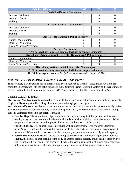| <b>Criminal Offense</b>                                               | 2019     | 2020              | 2021     |  |  |
|-----------------------------------------------------------------------|----------|-------------------|----------|--|--|
| <b>VAWA Offenses - On-campus*</b>                                     |          |                   |          |  |  |
| <b>Domestic Violence</b>                                              | $\theta$ | $\overline{0}$    | $\Omega$ |  |  |
| Dating Violence                                                       | 0        | 0                 | 0        |  |  |
| <b>Stalking</b>                                                       |          | 0                 | 0        |  |  |
| VAWA Offenses - Off-campus*                                           |          |                   |          |  |  |
| <b>Domestic Violence</b>                                              | 0        | 0                 | $\Omega$ |  |  |
| Dating Violence                                                       |          | 0                 | 0        |  |  |
| <b>Stalking</b>                                                       |          | 0                 | $\theta$ |  |  |
| <b>Arrests – On-campus &amp; Public Property</b>                      |          |                   |          |  |  |
| <b>Liquor Law Violations</b>                                          | 0        | $\theta$<br>0     |          |  |  |
| Drug Law Violations                                                   |          |                   | 0        |  |  |
| <b>Illegal Weapons Possessions</b>                                    | 0        | $\mathbf{\Omega}$ | 0        |  |  |
| <b>Arrests - Non-campus</b>                                           |          |                   |          |  |  |
| ANT does not have any non-campus facilities or campus residences      |          |                   |          |  |  |
| Disciplinary Actions/Judicial Referrals - On-campus & Public Property |          |                   |          |  |  |
| <b>Liquor Law Violations</b>                                          |          |                   | $\theta$ |  |  |
| Drug Law Violations                                                   |          |                   | 0        |  |  |
| <b>Illegal Weapons Possessions</b>                                    |          | 0                 | 0        |  |  |
| <b>Disciplinary Actions/Judicial Referrals - Non-campus</b>           |          |                   |          |  |  |
| ANT does not have any non-campus facilities or campus residences      |          |                   |          |  |  |
| *The Violence Against Women Act (VAWA) data collection began in 2014  |          |                   |          |  |  |

# *POLICY FOR PREPARING CAMPUS CRIME STATISTICS*

The previously stated statistics reflect offenses and arrests reported to Greeley Police and/or ANT and are compiled in accordance with the definitions used in the Uniform Crime Reporting System of the Department of Justice, and the Federal Bureau of Investigation (FBI), as modified by the Hate Crime Statistics Act.

### *CRIME DEFINITIONS*

**Murder and Non-Negligent Manslaughter** The willful (non-negligent) killing of one human being by another. **Negligent Manslaughter** The killing of another person through gross negligence.

**Forcible Sex Offenses** A forcible sex offense is any sexual act directed against another person, forcibly and/or against that person's will, or not forcibly or against the person's will, where the victim is incapable of giving consent. Examples of forcible sex offenses include:

- **Forcible Rape** The carnal knowledge of a person, forcibly and/or against that person's will; or not forcibly or against the person's will where the victim is incapable of giving consent because of his/her temporary or permanent mental or physical incapacity (or because of his/her youth).
- **Forcible Sodomy** Oral or anal sexual intercourse with another person, forcibly and/or against that person's will; or not forcibly against the person's will where the victim is incapable of giving consent because of his/her youth or because of his/her temporary or permanent mental or physical incapacity.
- **Sexual Assault with an Object** The use of an object or instrument to unlawfully penetrate, however slightly, the genital or anal opening of the body of another person, forcibly and/or against that person's will, or not forcibly or against the person's will where the victim is incapable of giving consent because of his/her youth or because of his/her temporary or permanent mental or physical incapacity.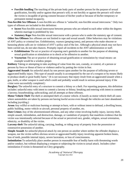• **Forcible fondling** The touching of the private body parts of another person for the purpose of sexual gratification, forcibly and/or against that person's will; or not forcibly or against the person's will where the victim is incapable of giving consent because of his/her youth or because of his/her temporary or permanent mental incapacity.

**Non-forcible Sex Offenses** A non-forcible sex offense is "unlawful, non-forcible sexual intercourse." Only two types of offenses are included in this definition:

• **Incest** Non-forcible sexual intercourse between persons who are related to each other within the degrees wherein marriage is prohibited by law.

• **Statutory Rape** Non-forcible sexual intercourse with a person who is under the statutory age of consent. **Other Sex Offenses** Sex offenses are not limited to rape and sexual assault. Other behaviors may be violations of ANT policy or criminal law. Exhibitionists, voyeurs (peeping toms), and persons who make obscene or harassing phone calls are in violation of ANT's policy and of the law. Although a physical attack may not have been carried out, do not take chances. Promptly report all incidents to the ANT administration or staff.

- **Exhibitionism** The act or practice of exposing one's genitalia to another for the purpose of obtaining sexual gratification or stimulation or to shock or be offensive to another.
- **Voyeurism** The act or practice of obtaining sexual gratification or stimulation by visual means--an example would be a window peeper.

**Robbery** Taking or attempting to take anything of value from the care, custody, or control, of a person or persons by force or threat of force or violence and/or by putting the victim in fear.

**Aggravated Assault** An unlawful attack by one person upon another for the purpose of inflicting severe or aggravated bodily injury. This type of assault usually is accompanied by the use of a weapon or by means likely to produce death or great bodily harm." (It is not necessary that injury result from an aggravated assault when a gun, knife, or other weapon is used which could and probably would result in serious personal injury if the crime were successfully completed.)

**Burglary** The unlawful entry of a structure to commit a felony or a theft. For reporting purposes, this definition includes: unlawful entry with intent to commit a larceny or felony; breaking and entering with intent to commit a larceny; housebreaking; safecracking; and all attempts at these offenses.

**Motor Vehicle Theft** The theft or attempted theft of a motor vehicle. (Classify as motor vehicle theft all cases where automobiles are taken by persons not having lawful access even though the vehicles are later abandoned including joyriding.)

**Arson** Any willful or malicious burning or attempt to burn, with or without intent to defraud, a dwelling house, public building, motor vehicle or aircraft, personal property of another, etc.

**Hate Crimes** Any of the aforementioned offenses, and any other crime involving bodily injury, larceny-theft, simple assault, intimidation, and destruction, damage, or vandalism of property that manifests evidence that the victim was intentionally selected because of the actual or perceived race, gender, religion, sexual orientation, ethnicity, or disability of the victim.

**Larceny-theft** The unlawful taking, carrying, leading, or riding away of property from the possession or constructive possession of another.

**Simple Assault** An unlawful physical attack by one person on another where neither the offender displays a weapon, nor the victim suffers obvious severe or aggravated bodily injury involving apparent broken bones, loss of teeth, possible internal injury, severe laceration, or loss of consciousness.

**Intimidation** To unlawfully place another person in reasonable fear of bodily harm with threatening words and/or conduct, but without displaying a weapon or subjecting the victim to actual attack. Includes cyberintimidation if victim is threatened on Clery geography.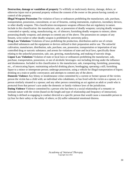**Destruction, damage or vandalism of property** To willfully or maliciously destroy, damage, deface, or otherwise injure real or personal property without the consent of the owner or the person having custody or control of the property.

**Illegal Weapons Possession** The violation of laws or ordinances prohibiting the manufacture, sale, purchase, transportation, possession, concealment, or use of firearms, cutting instruments, explosives, incendiary devices, or other deadly weapons. This classification encompasses weapons offenses that are regulatory in nature. Include in this classification: the manufacture, sale, or possession of deadly weapons; carrying deadly weapons- -concealed or openly; using, manufacturing, etc. of silencers; furnishing deadly weapons to minors; aliens possessing deadly weapons; and attempts to commit any of the above. The possession on campus of any firearm, wrist rocket or other deadly weapon is prohibited by university policy.

**Drug Law Violations** Violations of laws prohibiting the production, distribution and/or use of certain controlled substances and the equipment or devices utilized in their preparation and/or use. The unlawful cultivation, manufacture, distribution, sale, purchase, use, possession, transportation or importation of any controlled drug or narcotic substance; and arrests for violations of state and local laws, specifically those relating to the unlawful possession, sale, use, growing, manufacturing, and making of narcotic drugs.

**Liquor Law Violations** Violation of state or local laws or ordinances prohibiting the manufacture, sale, purchase, transportation, possession, or use of alcoholic beverages--not including driving under the influence and drunkenness. Included in this classification is: the manufacture, sale, transporting, furnishing, possessing, etc., of intoxicating liquor; maintaining unlawful drinking places; bootlegging; operating a still; furnishing liquor to a minor or intemperate person; underage possession, using a vehicle for illegal transportation of liquor; drinking on a train or public conveyance; and attempts to commit any of the above.

**Domestic Violence** Any felony or misdemeanor crime committed by a current or former spouse of the victim; person the victim has a child with; an individual who cohabitates, or has lived with the victim as a spouse, or a person similarly situated to a spouse; and any other person committing an act against an adult or youth who is protected from that person's acts under the domestic or family violence laws of the jurisdiction.

**Dating Violence** Violence committed by a person who has been in a social relationship of a romantic or intimate nature with the victim (based on the length and type of relationship and frequency of interaction). Stalking is defined as engaging in conduct directed at a specific person that would cause a reasonable person to (a) fear for their safety or the safety of others; or (b) suffer substantial emotional distress.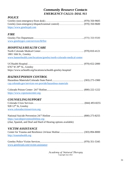# *Community Resource Contacts EMERGENCY CALLS: DIAL 911*

| https://www.greeleypd.com |  |
|---------------------------|--|

### *FIRE*

| www.greeleygov.com/services/fd/fire |  |
|-------------------------------------|--|

### *HOSPITALS/HEALTH CARE*

| 1801 16th St., Greeley                                               |  |
|----------------------------------------------------------------------|--|
| www.bannerhealth.com/locations/greeley/north-colorado-medical-center |  |

| 6767 W $29th$ St., Greeley                                    |  |
|---------------------------------------------------------------|--|
| https://www.uchealth.org/locations/uchealth-greeley-hospital/ |  |

### *HAZMAT/POISON CONTROL*

| csp.colorado.gov/services-we-provide/hazardous-materials |  |
|----------------------------------------------------------|--|

| https://www.copoisoncenter.org |  |  |
|--------------------------------|--|--|

### *COUNSELING/SUPPORT*

| 928 $12th$ St, Greeley         |  |
|--------------------------------|--|
| www.coloradocrisisservices.org |  |

| https://suicidepreventionlifeline.org                           |  |
|-----------------------------------------------------------------|--|
| (chat, Spanish, and Deaf and Hard of Hearing options available) |  |

### *VICTIM ASSISTANCE*

| http://traumahealth.org |  |
|-------------------------|--|

Greeley Police Victim Services.................................................................... (970) 351-5345 [www.greeleypd.com/victim-assistance](http://www.greeleypd.com/victim-assistance/)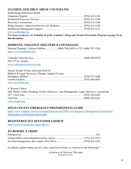#### *ALCOHOL AND DRUG ABUSE COUNSELING* North Range Behavioral Health

| NORIA Range Benavioral Health |  |
|-------------------------------|--|
|                               |  |
|                               |  |
|                               |  |
|                               |  |
|                               |  |
| www northrongo arg            |  |

[www.northrange.org](http://www.northrange.org/)

*For more resources, see Schedule B of the Academy's Drug and Alcohol Prevention Program on page 15 of this document.*

### *DOMESTIC VIOLENCE SHELTERS & COUNSELING*

National Domestic Violence Hotline...................(800) 799-SAFE or TTY (800) 787-3224 [https://www.thehotline.org](https://www.thehotline.org/)

Colorado Crisis Services…………………………………………………... (844) 493-8255 928 12<sup>th</sup> St, Greeley [www.coloradocrisisservices.org](http://www.coloradocrisisservices.org/)

| Sexual Assault Victim Advocate (SAVA)             |  |
|---------------------------------------------------|--|
| Medical & Legal Advocacy, Therapy, Support Groups |  |
|                                                   |  |
|                                                   |  |
| www.savacenter.org                                |  |

| A Woman's Place |                                                                                             |
|-----------------|---------------------------------------------------------------------------------------------|
|                 | Safe Shelter, Safety Planning, Victim Advocacy, Case Management, Legal Advocacy, Counseling |
|                 |                                                                                             |
|                 |                                                                                             |
| www.awpdv.org   |                                                                                             |

### *WELD COUNTY EMERGENCY PREPAREDNESS GUIDE*

[https://www.weldgov.com/Government/Departments/Office-of-Emergency-Management/Community-](https://www.weldgov.com/Government/Departments/Office-of-Emergency-Management/Community-Preparedness-Information-and-Guides)[Preparedness-Information-and-Guides](https://www.weldgov.com/Government/Departments/Office-of-Emergency-Management/Community-Preparedness-Information-and-Guides)

### *REGISTERED SEX OFFENDER LOOKUP*

<https://www.colorado.gov/apps/cdps/sor/>

### *TO REPORT A CRIME*

In addition, please report any 911 calls, suspicious activity, or concerns to the following:\*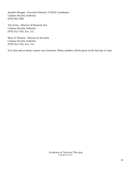Jennifer Mongan - Executive Director /VAWA Coordinator Campus Security Authority (970) 302-7006

Tim Gross - Director of Financial Aid Campus Security Authority (970) 352-1181, Ext. 112

Mary Jo Thaxton - Director of Accounts Campus Security Authority (970) 352-1181, Ext. 114

If in class and on break, contact your instructor. Phone numbers will be given on the first day of class.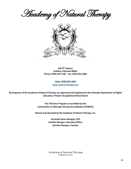**Heademy of Natural Therapy** 



**625 8th Avenue Greeley, Colorado 80631 Phone: (970) 352-1181 Fax: (970) 353-1906**

> **Clinic: (970) 353-1047 [www.natural-therapy.com](http://www.natural-therapy.com/)**

**All programs of the Academy of Natural Therapy are approved and regulated by the Colorado Department of Higher Education, Private Occupational School Board**

> **The 750-hour Program is accredited by the Commission on Massage Therapy Accreditation (COMTA)**

**Owned and operated by the Academy of Natural Therapy, Inc.** 

**Jeremiah James Mongan, CEO Jennifer Mongan, Executive Officer Dorothy Mongan, Founder**